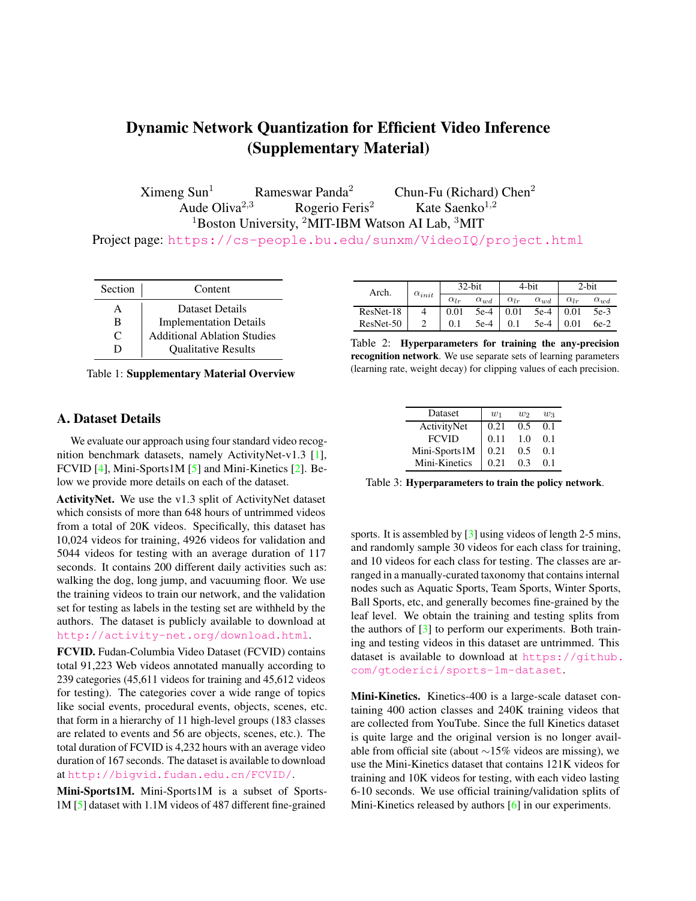# Dynamic Network Quantization for Efficient Video Inference (Supplementary Material)

 $X$ imeng Sun<sup>1</sup> Rameswar Panda<sup>2</sup> Chun-Fu (Richard) Chen<sup>2</sup><br>Aude Oliva<sup>2,3</sup> Rogerio Feris<sup>2</sup> Kate Saenko<sup>1,2</sup> Rogerio Feris<sup>2</sup>  $1$ Boston University, <sup>2</sup>MIT-IBM Watson AI Lab, <sup>3</sup>MIT

Project page: https://cs-people.bu.edu/sunxm/VideoIQ/project.html

| Section | Content                            |
|---------|------------------------------------|
| A       | Dataset Details                    |
| в       | <b>Implementation Details</b>      |
| C       | <b>Additional Ablation Studies</b> |
|         | <b>Qualitative Results</b>         |

Table 1: Supplementary Material Overview

## A. Dataset Details

We evaluate our approach using four standard video recognition benchmark datasets, namely ActivityNet-v1.3 [1], FCVID [4], Mini-Sports1M [5] and Mini-Kinetics [2]. Below we provide more details on each of the dataset.

ActivityNet. We use the v1.3 split of ActivityNet dataset which consists of more than 648 hours of untrimmed videos from a total of 20K videos. Specifically, this dataset has 10,024 videos for training, 4926 videos for validation and 5044 videos for testing with an average duration of 117 seconds. It contains 200 different daily activities such as: walking the dog, long jump, and vacuuming floor. We use the training videos to train our network, and the validation set for testing as labels in the testing set are withheld by the authors. The dataset is publicly available to download at http://activity-net.org/download.html.

FCVID. Fudan-Columbia Video Dataset (FCVID) contains total 91,223 Web videos annotated manually according to 239 categories (45,611 videos for training and 45,612 videos for testing). The categories cover a wide range of topics like social events, procedural events, objects, scenes, etc. that form in a hierarchy of 11 high-level groups (183 classes are related to events and 56 are objects, scenes, etc.). The total duration of FCVID is 4,232 hours with an average video duration of 167 seconds. The dataset is available to download at http://bigvid.fudan.edu.cn/FCVID/.

Mini-Sports1M. Mini-Sports1M is a subset of Sports-1M [5] dataset with 1.1M videos of 487 different fine-grained

| Arch.     | $\alpha_{init}$ | 32-bit        |               | 4-bit         |               | 2-bit         |               |
|-----------|-----------------|---------------|---------------|---------------|---------------|---------------|---------------|
|           |                 | $\alpha_{lr}$ | $\alpha_{wd}$ | $\alpha_{lr}$ | $\alpha_{wd}$ | $\alpha_{lr}$ | $\alpha_{wd}$ |
| ResNet-18 |                 | 0.01          | $5e-4$ 0.01   |               | $5e-4$   0.01 |               | $5e-3$        |
| ResNet-50 |                 |               | 5e-4          | 0.1           | $5e-4$        | 0.01          | $6e-2$        |

Table 2: Hyperparameters for training the any-precision recognition network. We use separate sets of learning parameters (learning rate, weight decay) for clipping values of each precision.

| Dataset       | $w_1$ | W2  | $w_3$ |
|---------------|-------|-----|-------|
| ActivityNet   | 0.21  | 0.5 | 0.1   |
| <b>FCVID</b>  | 0.11  | 1.0 | 0.1   |
| Mini-Sports1M | 0.21  | 0.5 | 0.1   |
| Mini-Kinetics | 0.21  | 0.3 | 0.1   |
|               |       |     |       |

Table 3: Hyperparameters to train the policy network.

sports. It is assembled by [3] using videos of length 2-5 mins, and randomly sample 30 videos for each class for training, and 10 videos for each class for testing. The classes are arranged in a manually-curated taxonomy that contains internal nodes such as Aquatic Sports, Team Sports, Winter Sports, Ball Sports, etc, and generally becomes fine-grained by the leaf level. We obtain the training and testing splits from the authors of  $[3]$  to perform our experiments. Both training and testing videos in this dataset are untrimmed. This dataset is available to download at https://github. com/gtoderici/sports-1m-dataset.

Mini-Kinetics. Kinetics-400 is a large-scale dataset containing 400 action classes and 240K training videos that are collected from YouTube. Since the full Kinetics dataset is quite large and the original version is no longer available from official site (about ∼15% videos are missing), we use the Mini-Kinetics dataset that contains 121K videos for training and 10K videos for testing, with each video lasting 6-10 seconds. We use official training/validation splits of Mini-Kinetics released by authors [6] in our experiments.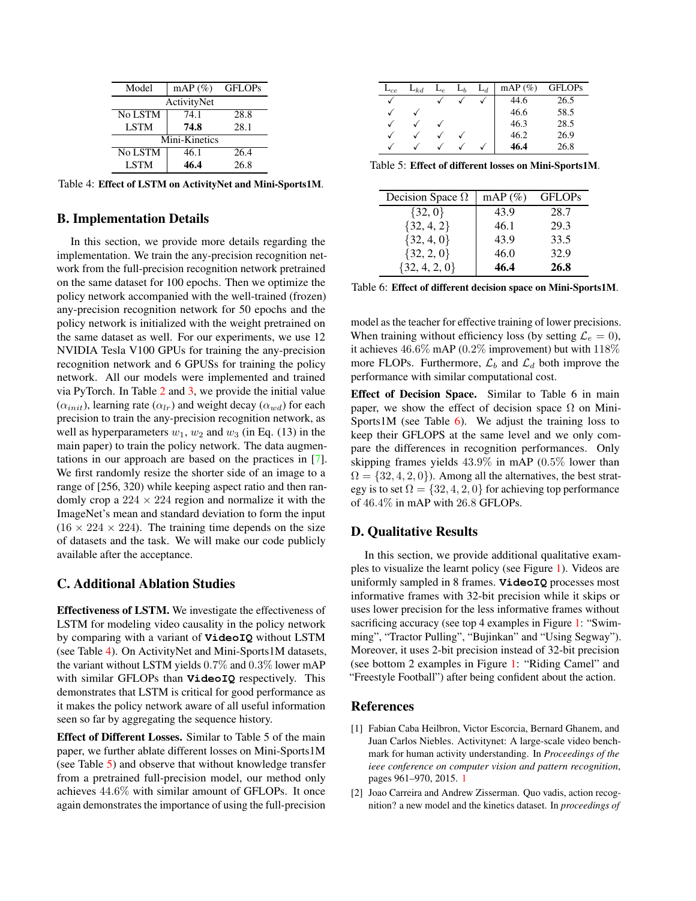| Model         | $mAP(\%)$ | <b>GFLOPs</b> |  |  |  |
|---------------|-----------|---------------|--|--|--|
| ActivityNet   |           |               |  |  |  |
| No LSTM       | 74.1      | 28.8          |  |  |  |
| <b>LSTM</b>   | 74.8      | 28.1          |  |  |  |
| Mini-Kinetics |           |               |  |  |  |
| No LSTM       | 46.1      | 26.4          |  |  |  |
| <b>LSTM</b>   | 46.4      | 26.8          |  |  |  |

Table 4: Effect of LSTM on ActivityNet and Mini-Sports1M.

#### B. Implementation Details

In this section, we provide more details regarding the implementation. We train the any-precision recognition network from the full-precision recognition network pretrained on the same dataset for 100 epochs. Then we optimize the policy network accompanied with the well-trained (frozen) any-precision recognition network for 50 epochs and the policy network is initialized with the weight pretrained on the same dataset as well. For our experiments, we use 12 NVIDIA Tesla V100 GPUs for training the any-precision recognition network and 6 GPUSs for training the policy network. All our models were implemented and trained via PyTorch. In Table 2 and 3, we provide the initial value  $(\alpha_{init})$ , learning rate  $(\alpha_{lr})$  and weight decay  $(\alpha_{wd})$  for each precision to train the any-precision recognition network, as well as hyperparameters  $w_1$ ,  $w_2$  and  $w_3$  (in Eq. (13) in the main paper) to train the policy network. The data augmentations in our approach are based on the practices in [7]. We first randomly resize the shorter side of an image to a range of [256, 320) while keeping aspect ratio and then randomly crop a  $224 \times 224$  region and normalize it with the ImageNet's mean and standard deviation to form the input  $(16 \times 224 \times 224)$ . The training time depends on the size of datasets and the task. We will make our code publicly available after the acceptance.

#### C. Additional Ablation Studies

Effectiveness of LSTM. We investigate the effectiveness of LSTM for modeling video causality in the policy network by comparing with a variant of **VideoIQ** without LSTM (see Table 4). On ActivityNet and Mini-Sports1M datasets, the variant without LSTM yields 0.7% and 0.3% lower mAP with similar GFLOPs than **VideoIQ** respectively. This demonstrates that LSTM is critical for good performance as it makes the policy network aware of all useful information seen so far by aggregating the sequence history.

Effect of Different Losses. Similar to Table 5 of the main paper, we further ablate different losses on Mini-Sports1M (see Table 5) and observe that without knowledge transfer from a pretrained full-precision model, our method only achieves 44.6% with similar amount of GFLOPs. It once again demonstrates the importance of using the full-precision

| $L_{ce}$ | $L_{kd}$ | $\sqcup_{\mathcal{C}}$ | $\mathsf{L}_b$ | $\mathsf{L}_d$ | mAP $(\%)$ | <b>GFLOPs</b> |
|----------|----------|------------------------|----------------|----------------|------------|---------------|
| v        |          |                        |                |                | 44.6       | 26.5          |
|          |          |                        |                |                | 46.6       | 58.5          |
|          |          |                        |                |                | 46.3       | 28.5          |
| √        |          |                        |                |                | 46.2       | 26.9          |
|          |          |                        |                |                | 46.4       | 26.8          |

Table 5: Effect of different losses on Mini-Sports1M.

| Decision Space $\Omega$ | mAP $(\%)$ | <b>GFLOPs</b> |
|-------------------------|------------|---------------|
| $\{32, 0\}$             | 43.9       | 28.7          |
| $\{32, 4, 2\}$          | 46.1       | 29.3          |
| $\{32, 4, 0\}$          | 43.9       | 33.5          |
| $\{32, 2, 0\}$          | 46.0       | 32.9          |
| ${32, 4, 2, 0}$         | 46.4       | 26.8          |

Table 6: Effect of different decision space on Mini-Sports1M.

model as the teacher for effective training of lower precisions. When training without efficiency loss (by setting  $\mathcal{L}_e = 0$ ), it achieves 46.6% mAP (0.2% improvement) but with 118% more FLOPs. Furthermore,  $\mathcal{L}_b$  and  $\mathcal{L}_d$  both improve the performance with similar computational cost.

Effect of Decision Space. Similar to Table 6 in main paper, we show the effect of decision space  $\Omega$  on Mini-Sports1M (see Table  $6$ ). We adjust the training loss to keep their GFLOPS at the same level and we only compare the differences in recognition performances. Only skipping frames yields 43.9% in mAP (0.5% lower than  $\Omega = \{32, 4, 2, 0\}$ . Among all the alternatives, the best strategy is to set  $\Omega = \{32, 4, 2, 0\}$  for achieving top performance of 46.4% in mAP with 26.8 GFLOPs.

## D. Qualitative Results

In this section, we provide additional qualitative examples to visualize the learnt policy (see Figure 1). Videos are uniformly sampled in 8 frames. **VideoIQ** processes most informative frames with 32-bit precision while it skips or uses lower precision for the less informative frames without sacrificing accuracy (see top 4 examples in Figure 1: "Swimming", "Tractor Pulling", "Bujinkan" and "Using Segway"). Moreover, it uses 2-bit precision instead of 32-bit precision (see bottom 2 examples in Figure 1: "Riding Camel" and "Freestyle Football") after being confident about the action.

## References

- [1] Fabian Caba Heilbron, Victor Escorcia, Bernard Ghanem, and Juan Carlos Niebles. Activitynet: A large-scale video benchmark for human activity understanding. In *Proceedings of the ieee conference on computer vision and pattern recognition*, pages 961–970, 2015. 1
- [2] Joao Carreira and Andrew Zisserman. Quo vadis, action recognition? a new model and the kinetics dataset. In *proceedings of*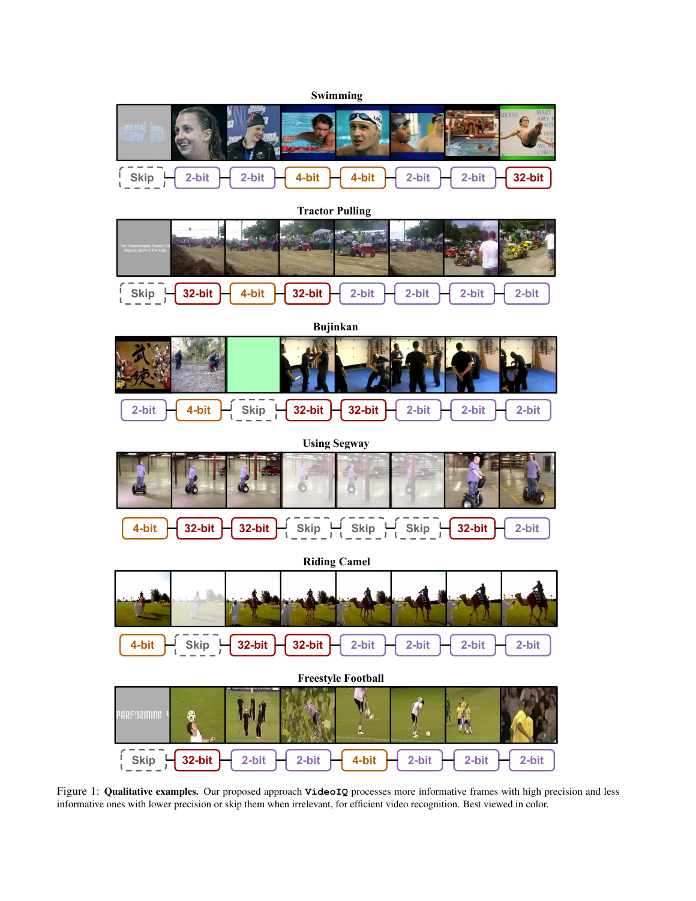

Figure 1: Qualitative examples. Our proposed approach **VideoIQ** processes more informative frames with high precision and less informative ones with lower precision or skip them when irrelevant, for efficient video recognition. Best viewed in color.